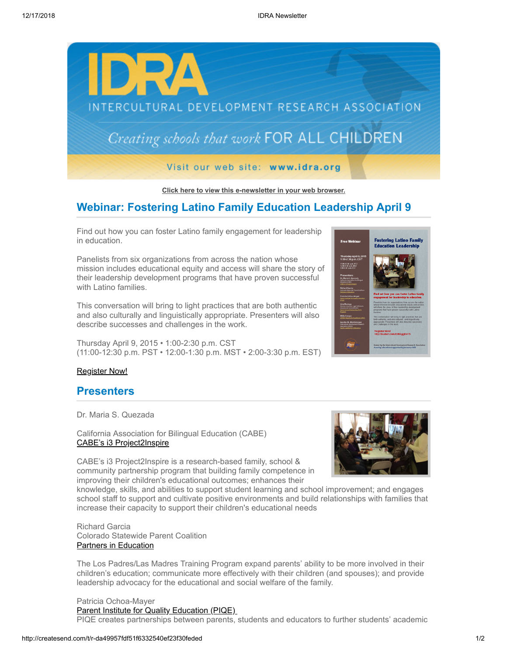

**[Click here to view this e-newsletter in your web browser.](http://newsletter.impulsedevelopment.com/t/r-e-qkrilkk-l-r/)**

# **Webinar: Fostering Latino Family Education Leadership April 9**

Find out how you can foster Latino family engagement for leadership in education.

Panelists from six organizations from across the nation whose mission includes educational equity and access will share the story of their leadership development programs that have proven successful with Latino families.

This conversation will bring to light practices that are both authentic and also culturally and linguistically appropriate. Presenters will also describe successes and challenges in the work.

Thursday April 9, 2015 • 1:00-2:30 p.m. CST (11:00-12:30 p.m. PST • 12:00-1:30 p.m. MST • 2:00-3:30 p.m. EST)



## [Register Now!](http://idra.createsend1.com/t/r-l-qkrilkk-l-i/)

## **Presenters**

Dr. Maria S. Quezada

California Association for Bilingual Education (CABE) [CABE's i3 Project2Inspire](http://idra.createsend1.com/t/r-l-qkrilkk-l-d/)

CABE's i3 Project2Inspire is a research-based family, school & community partnership program that building family competence in improving their children's educational outcomes; enhances their

knowledge, skills, and abilities to support student learning and school improvement; and engages school staff to support and cultivate positive environments and build relationships with families that increase their capacity to support their children's educational needs

Richard Garcia Colorado Statewide Parent Coalition [Partners in Education](http://idra.createsend1.com/t/r-l-qkrilkk-l-o/)

The Los Padres/Las Madres Training Program expand parents' ability to be more involved in their children's education; communicate more effectively with their children (and spouses); and provide leadership advocacy for the educational and social welfare of the family.

Patricia Ochoa-Mayer [Parent Institute for Quality Education \(PIQE\)](http://idra.createsend1.com/t/r-l-qkrilkk-l-b/)  PIQE creates partnerships between parents, students and educators to further students' academic